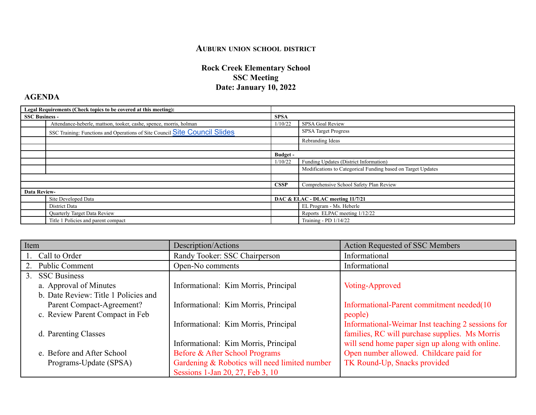## **AUBURN UNION SCHOOL DISTRICT**

## **Rock Creek Elementary School SSC Meeting Date: January 10, 2022**

## **AGENDA**

| Legal Requirements (Check topics to be covered at this meeting): |                                                                            |                                   |                                                              |
|------------------------------------------------------------------|----------------------------------------------------------------------------|-----------------------------------|--------------------------------------------------------------|
| <b>SSC Business -</b>                                            |                                                                            | <b>SPSA</b>                       |                                                              |
|                                                                  | Attendance-heberle, mattson, tooker, cashe, spence, morris, holman         | 1/10/22                           | SPSA Goal Review                                             |
|                                                                  | SSC Training: Functions and Operations of Site Council Site Council Slides |                                   | <b>SPSA Target Progress</b>                                  |
|                                                                  |                                                                            |                                   | Rebranding Ideas                                             |
|                                                                  |                                                                            |                                   |                                                              |
|                                                                  |                                                                            | Budget -                          |                                                              |
|                                                                  |                                                                            | 1/10/22                           | Funding Updates (District Information)                       |
|                                                                  |                                                                            |                                   | Modifications to Categorical Funding based on Target Updates |
|                                                                  |                                                                            |                                   |                                                              |
|                                                                  |                                                                            | <b>CSSP</b>                       | Comprehensive School Safety Plan Review                      |
| <b>Data Review-</b>                                              |                                                                            |                                   |                                                              |
|                                                                  | Site Developed Data                                                        | DAC & ELAC - DLAC meeting 11/7/21 |                                                              |
|                                                                  | District Data                                                              |                                   | EL Program - Ms. Heberle                                     |
|                                                                  | Quarterly Target Data Review                                               |                                   | Reports ELPAC meeting 1/12/22                                |
|                                                                  | Title 1 Policies and parent compact                                        |                                   | Training - PD 1/14/22                                        |

| Item                                 | Description/Actions                           | <b>Action Requested of SSC Members</b>            |
|--------------------------------------|-----------------------------------------------|---------------------------------------------------|
| 1. Call to Order                     | Randy Tooker: SSC Chairperson                 | Informational                                     |
| <b>Public Comment</b><br>2.          | Open-No comments                              | Informational                                     |
| 3. SSC Business                      |                                               |                                                   |
| a. Approval of Minutes               | Informational: Kim Morris, Principal          | Voting-Approved                                   |
| b. Date Review: Title 1 Policies and |                                               |                                                   |
| Parent Compact-Agreement?            | Informational: Kim Morris, Principal          | Informational-Parent commitment needed(10)        |
| c. Review Parent Compact in Feb      |                                               | people)                                           |
|                                      | Informational: Kim Morris, Principal          | Informational-Weimar Inst teaching 2 sessions for |
| d. Parenting Classes                 |                                               | families, RC will purchase supplies. Ms Morris    |
|                                      | Informational: Kim Morris, Principal          | will send home paper sign up along with online.   |
| e. Before and After School           | Before & After School Programs                | Open number allowed. Childcare paid for           |
| Programs-Update (SPSA)               | Gardening & Robotics will need limited number | TK Round-Up, Snacks provided                      |
|                                      | Sessions 1-Jan 20, 27, Feb 3, 10              |                                                   |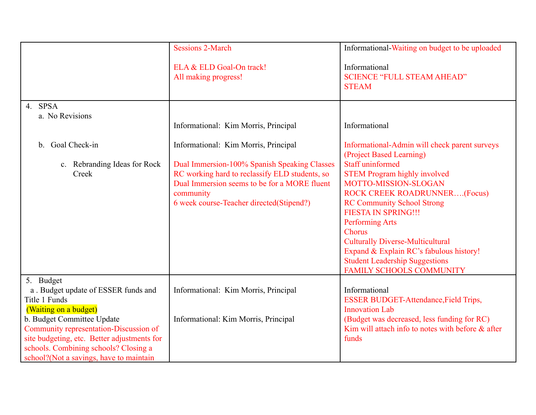| <b>Sessions 2-March</b>                                                                                                                                                                                                                         | Informational-Waiting on budget to be uploaded                                                                                                                                                                                                                                                                                                                                                                                                                                      |
|-------------------------------------------------------------------------------------------------------------------------------------------------------------------------------------------------------------------------------------------------|-------------------------------------------------------------------------------------------------------------------------------------------------------------------------------------------------------------------------------------------------------------------------------------------------------------------------------------------------------------------------------------------------------------------------------------------------------------------------------------|
| ELA & ELD Goal-On track!<br>All making progress!                                                                                                                                                                                                | Informational<br><b>SCIENCE "FULL STEAM AHEAD"</b><br><b>STEAM</b>                                                                                                                                                                                                                                                                                                                                                                                                                  |
| Informational: Kim Morris, Principal                                                                                                                                                                                                            | Informational                                                                                                                                                                                                                                                                                                                                                                                                                                                                       |
| Informational: Kim Morris, Principal<br>Dual Immersion-100% Spanish Speaking Classes<br>RC working hard to reclassify ELD students, so<br>Dual Immersion seems to be for a MORE fluent<br>community<br>6 week course-Teacher directed(Stipend?) | Informational-Admin will check parent surveys<br>(Project Based Learning)<br><b>Staff uninformed</b><br><b>STEM Program highly involved</b><br>MOTTO-MISSION-SLOGAN<br><b>ROCK CREEK ROADRUNNER(Focus)</b><br><b>RC Community School Strong</b><br><b>FIESTA IN SPRING!!!</b><br><b>Performing Arts</b><br><b>Chorus</b><br><b>Culturally Diverse-Multicultural</b><br>Expand & Explain RC's fabulous history!<br><b>Student Leadership Suggestions</b><br>FAMILY SCHOOLS COMMUNITY |
| Informational: Kim Morris, Principal<br>Informational: Kim Morris, Principal                                                                                                                                                                    | Informational<br><b>ESSER BUDGET-Attendance, Field Trips,</b><br><b>Innovation Lab</b><br>(Budget was decreased, less funding for RC)<br>Kim will attach info to notes with before $\&$ after<br>funds                                                                                                                                                                                                                                                                              |
|                                                                                                                                                                                                                                                 |                                                                                                                                                                                                                                                                                                                                                                                                                                                                                     |